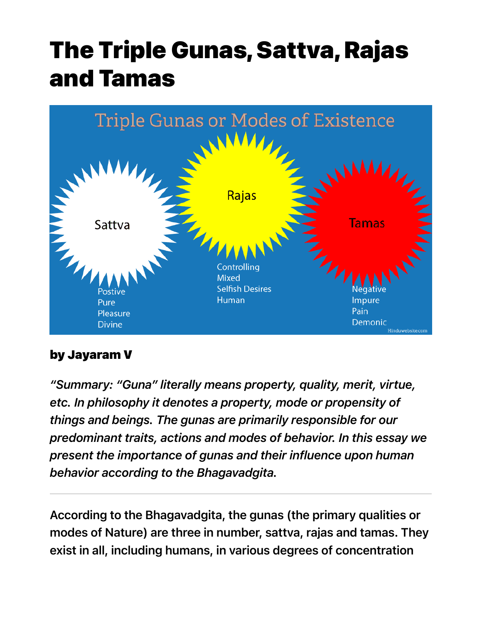# The Triple Gunas, Sattva, Rajas and Tamas



#### by Jayaram V

*"Summary: "Guna" literally means property, quality, merit, virtue, etc. In philosophy it denotes a property, mode or propensity of things and beings. The gunas are primarily responsible for our predominant traits, actions and modes of behavior. In this essay we present the importance of gunas and their influence upon human behavior according to the Bhagavadgita.*

According to the Bhagavadgita, the gunas (the primary qualities or modes of Nature) are three in number, sattva, rajas and tamas. They exist in all, including humans, in various degrees of concentration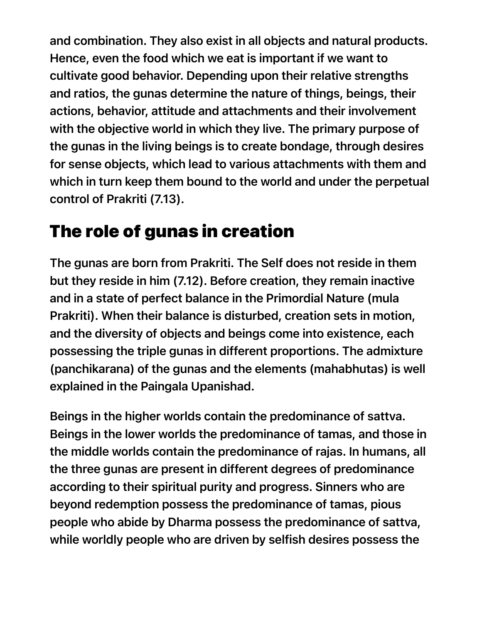and combination. They also exist in all objects and natural products. Hence, even the food which we eat is important if we want to cultivate good behavior. Depending upon their relative strengths and ratios, the gunas determine the nature of things, beings, their actions, behavior, attitude and attachments and their involvement with the objective world in which they live. The primary purpose of the gunas in the living beings is to create bondage, through desires for sense objects, which lead to various attachments with them and which in turn keep them bound to the world and under the perpetual control of Prakriti (7.13).

## The role of gunas in creation

The gunas are born from Prakriti. The Self does not reside in them but they reside in him (7.12). Before creation, they remain inactive and in a state of perfect balance in the Primordial Nature (mula Prakriti). When their balance is disturbed, creation sets in motion, and the diversity of objects and beings come into existence, each possessing the triple gunas in different proportions. The admixture (panchikarana) of the gunas and the elements (mahabhutas) is well explained in the Paingala Upanishad.

Beings in the higher worlds contain the predominance of sattva. Beings in the lower worlds the predominance of tamas, and those in the middle worlds contain the predominance of rajas. In humans, all the three gunas are present in different degrees of predominance according to their spiritual purity and progress. Sinners who are beyond redemption possess the predominance of tamas, pious people who abide by Dharma possess the predominance of sattva, while worldly people who are driven by selfish desires possess the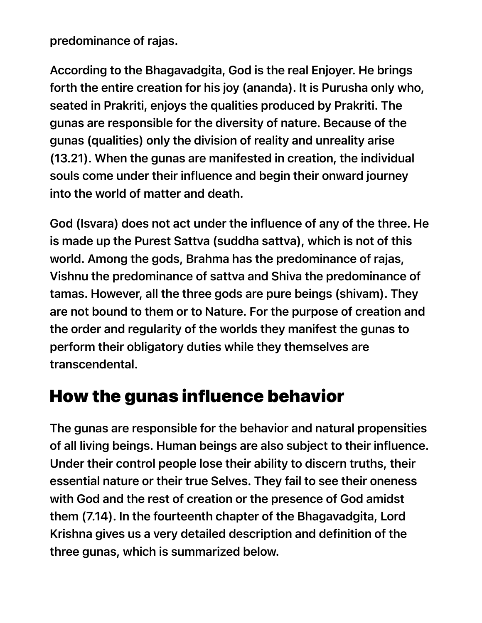predominance of rajas.

According to the Bhagavadgita, God is the real Enjoyer. He brings forth the entire creation for his joy (ananda). It is Purusha only who, seated in Prakriti, enjoys the qualities produced by Prakriti. The gunas are responsible for the diversity of nature. Because of the gunas (qualities) only the division of reality and unreality arise (13.21). When the gunas are manifested in creation, the individual souls come under their influence and begin their onward journey into the world of matter and death.

God (Isvara) does not act under the influence of any of the three. He is made up the Purest Sattva (suddha sattva), which is not of this world. Among the gods, Brahma has the predominance of rajas, Vishnu the predominance of sattva and Shiva the predominance of tamas. However, all the three gods are pure beings (shivam). They are not bound to them or to Nature. For the purpose of creation and the order and regularity of the worlds they manifest the gunas to perform their obligatory duties while they themselves are transcendental.

#### How the gunas influence behavior

The gunas are responsible for the behavior and natural propensities of all living beings. Human beings are also subject to their influence. Under their control people lose their ability to discern truths, their essential nature or their true Selves. They fail to see their oneness with God and the rest of creation or the presence of God amidst them (7.14). In the fourteenth chapter of the Bhagavadgita, Lord Krishna gives us a very detailed description and definition of the three gunas, which is summarized below.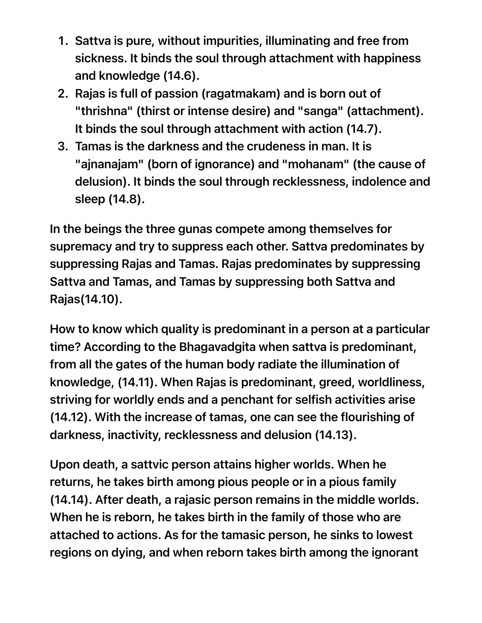- 1. Sattva is pure, without impurities, illuminating and free from sickness. It binds the soul through attachment with happiness and knowledge (14.6).
- 2. Rajas is full of passion (ragatmakam) and is born out of "thrishna" (thirst or intense desire) and "sanga" (attachment). It binds the soul through attachment with action (14.7).
- 3. Tamas is the darkness and the crudeness in man. It is "ajnanajam" (born of ignorance) and "mohanam" (the cause of delusion). It binds the soul through recklessness, indolence and sleep (14.8).

In the beings the three gunas compete among themselves for supremacy and try to suppress each other. Sattva predominates by suppressing Rajas and Tamas. Rajas predominates by suppressing Sattva and Tamas, and Tamas by suppressing both Sattva and Rajas(14.10).

How to know which quality is predominant in a person at a particular time? According to the Bhagavadgita when sattva is predominant, from all the gates of the human body radiate the illumination of knowledge, (14.11). When Rajas is predominant, greed, worldliness, striving for worldly ends and a penchant for selfish activities arise (14.12). With the increase of tamas, one can see the flourishing of darkness, inactivity, recklessness and delusion (14.13).

Upon death, a sattvic person attains higher worlds. When he returns, he takes birth among pious people or in a pious family (14.14). After death, a rajasic person remains in the middle worlds. When he is reborn, he takes birth in the family of those who are attached to actions. As for the tamasic person, he sinks to lowest regions on dying, and when reborn takes birth among the ignorant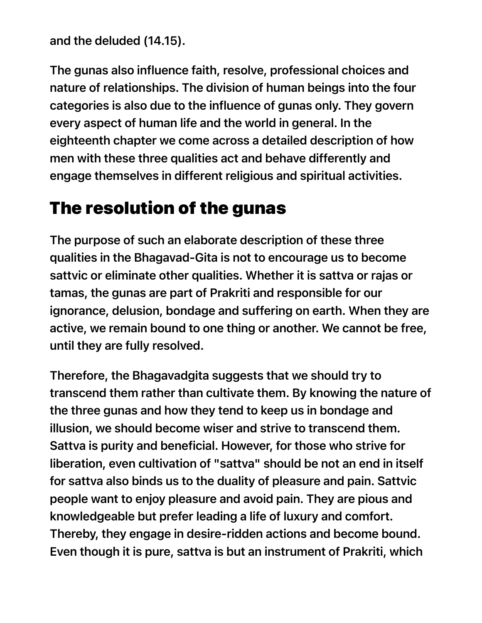and the deluded (14.15).

The gunas also influence faith, resolve, professional choices and nature of relationships. The division of human beings into the four categories is also due to the influence of gunas only. They govern every aspect of human life and the world in general. In the eighteenth chapter we come across a detailed description of how men with these three qualities act and behave differently and engage themselves in different religious and spiritual activities.

### The resolution of the gunas

The purpose of such an elaborate description of these three qualities in the Bhagavad-Gita is not to encourage us to become sattvic or eliminate other qualities. Whether it is sattva or rajas or tamas, the gunas are part of Prakriti and responsible for our ignorance, delusion, bondage and suffering on earth. When they are active, we remain bound to one thing or another. We cannot be free, until they are fully resolved.

Therefore, the Bhagavadgita suggests that we should try to transcend them rather than cultivate them. By knowing the nature of the three gunas and how they tend to keep us in bondage and illusion, we should become wiser and strive to transcend them. Sattva is purity and beneficial. However, for those who strive for liberation, even cultivation of "sattva" should be not an end in itself for sattva also binds us to the duality of pleasure and pain. Sattvic people want to enjoy pleasure and avoid pain. They are pious and knowledgeable but prefer leading a life of luxury and comfort. Thereby, they engage in desire-ridden actions and become bound. Even though it is pure, sattva is but an instrument of Prakriti, which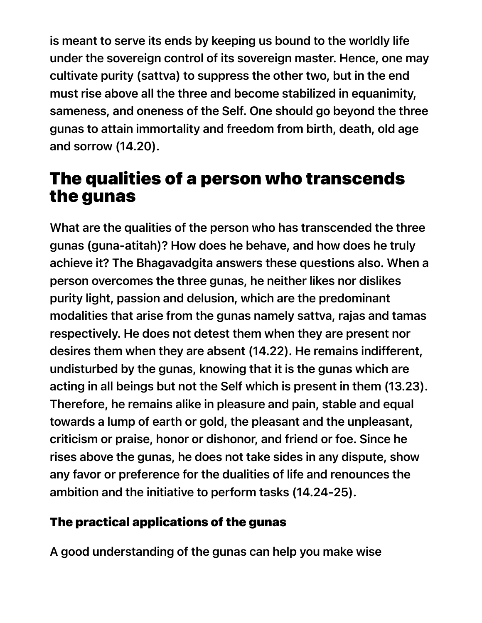is meant to serve its ends by keeping us bound to the worldly life under the sovereign control of its sovereign master. Hence, one may cultivate purity (sattva) to suppress the other two, but in the end must rise above all the three and become stabilized in equanimity, sameness, and oneness of the Self. One should go beyond the three gunas to attain immortality and freedom from birth, death, old age and sorrow (14.20).

#### The qualities of a person who transcends the gunas

What are the qualities of the person who has transcended the three gunas (guna-atitah)? How does he behave, and how does he truly achieve it? The Bhagavadgita answers these questions also. When a person overcomes the three gunas, he neither likes nor dislikes purity light, passion and delusion, which are the predominant modalities that arise from the gunas namely sattva, rajas and tamas respectively. He does not detest them when they are present nor desires them when they are absent (14.22). He remains indifferent, undisturbed by the gunas, knowing that it is the gunas which are acting in all beings but not the Self which is present in them (13.23). Therefore, he remains alike in pleasure and pain, stable and equal towards a lump of earth or gold, the pleasant and the unpleasant, criticism or praise, honor or dishonor, and friend or foe. Since he rises above the gunas, he does not take sides in any dispute, show any favor or preference for the dualities of life and renounces the ambition and the initiative to perform tasks (14.24-25).

#### The practical applications of the gunas

A good understanding of the gunas can help you make wise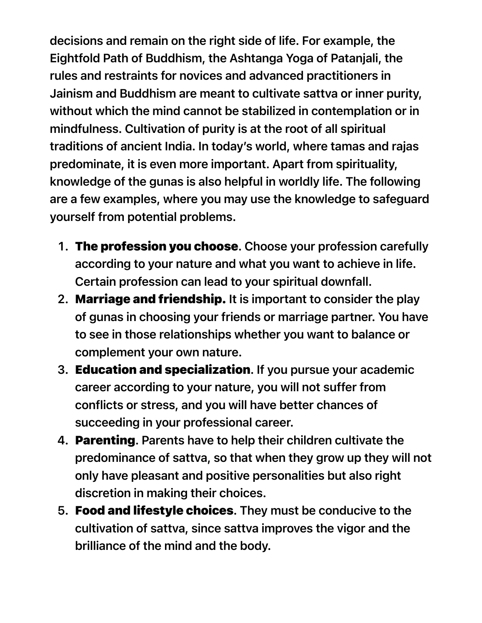decisions and remain on the right side of life. For example, the Eightfold Path of Buddhism, the Ashtanga Yoga of Patanjali, the rules and restraints for novices and advanced practitioners in Jainism and Buddhism are meant to cultivate sattva or inner purity, without which the mind cannot be stabilized in contemplation or in mindfulness. Cultivation of purity is at the root of all spiritual traditions of ancient India. In today's world, where tamas and rajas predominate, it is even more important. Apart from spirituality, knowledge of the gunas is also helpful in worldly life. The following are a few examples, where you may use the knowledge to safeguard yourself from potential problems.

- 1. The profession you choose. Choose your profession carefully according to your nature and what you want to achieve in life. Certain profession can lead to your spiritual downfall.
- 2. Marriage and friendship. It is important to consider the play of gunas in choosing your friends or marriage partner. You have to see in those relationships whether you want to balance or complement your own nature.
- 3. Education and specialization. If you pursue your academic career according to your nature, you will not suffer from conflicts or stress, and you will have better chances of succeeding in your professional career.
- 4. Parenting. Parents have to help their children cultivate the predominance of sattva, so that when they grow up they will not only have pleasant and positive personalities but also right discretion in making their choices.
- 5. Food and lifestyle choices. They must be conducive to the cultivation of sattva, since sattva improves the vigor and the brilliance of the mind and the body.